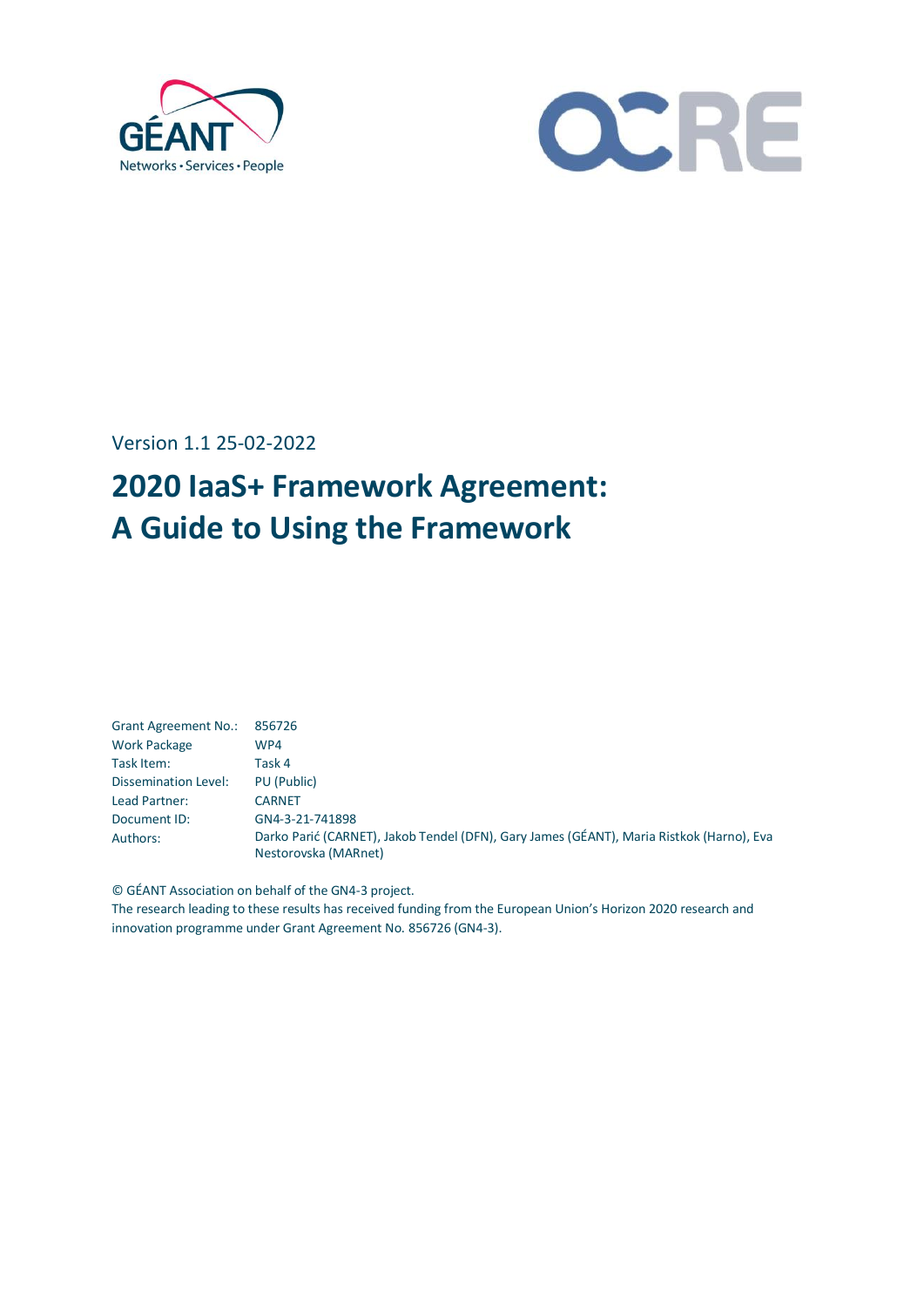



Version 1.1 25-02-2022

# **2020 IaaS+ Framework Agreement: A Guide to Using the Framework**

<span id="page-0-0"></span>

| <b>Grant Agreement No.:</b> | 856726                                                                                                           |
|-----------------------------|------------------------------------------------------------------------------------------------------------------|
| <b>Work Package</b>         | WP4                                                                                                              |
| Task Item:                  | Task 4                                                                                                           |
| Dissemination Level:        | PU (Public)                                                                                                      |
| Lead Partner:               | <b>CARNET</b>                                                                                                    |
| Document ID:                | GN4-3-21-741898                                                                                                  |
| Authors:                    | Darko Parić (CARNET), Jakob Tendel (DFN), Gary James (GÉANT), Maria Ristkok (Harno), Eva<br>Nestorovska (MARnet) |

© GÉANT Association on behalf of the GN4-3 project.

The research leading to these results has received funding from the European Union's Horizon 2020 research and innovation programme under Grant Agreement No. 856726 (GN4-3).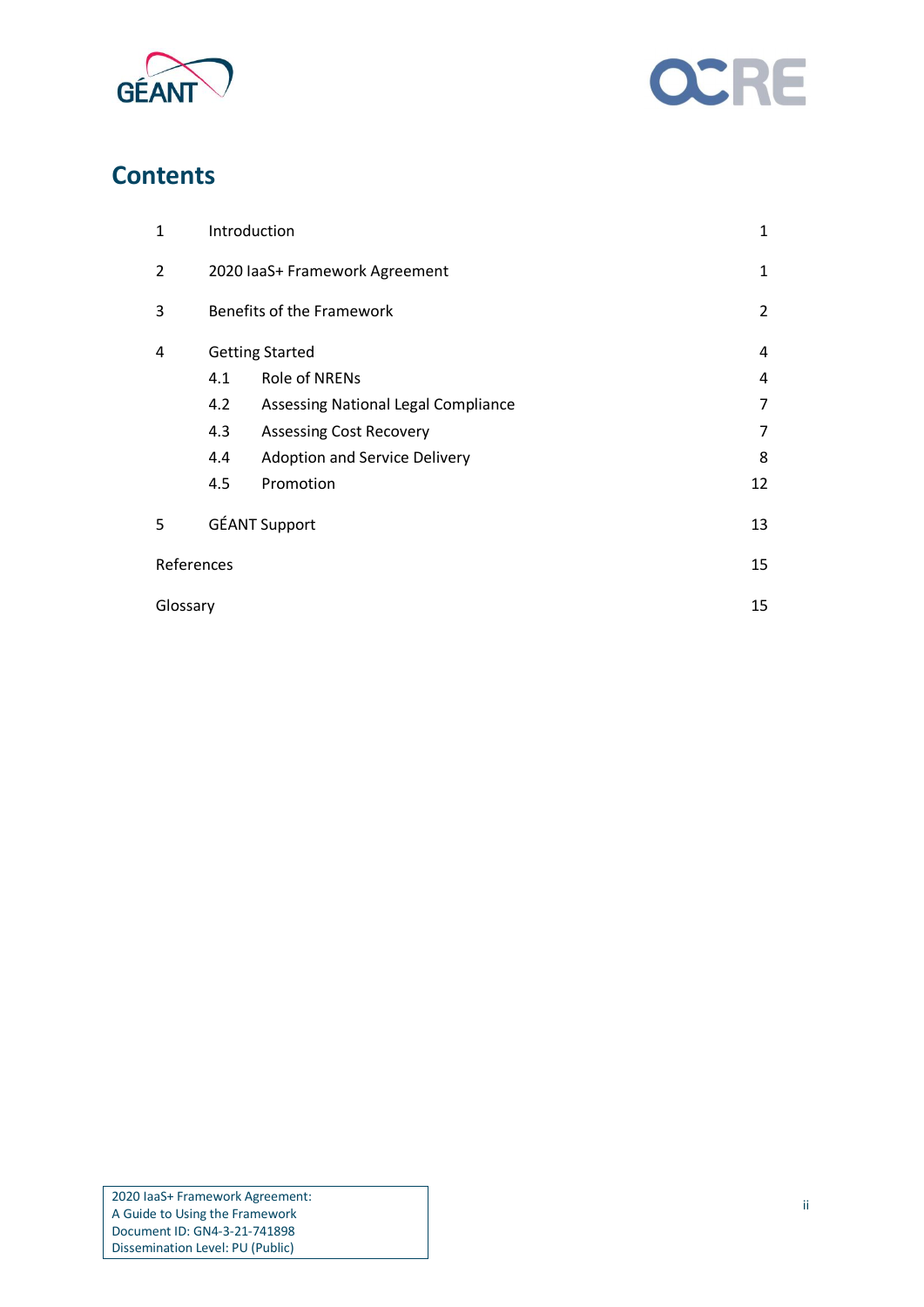



## **Contents**

| $\mathbf{1}$   | Introduction                     |                                     | 1  |
|----------------|----------------------------------|-------------------------------------|----|
| $\overline{2}$ | 2020 laaS+ Framework Agreement   |                                     | 1  |
| 3              | <b>Benefits of the Framework</b> |                                     | 2  |
| 4              | <b>Getting Started</b>           |                                     | 4  |
|                | 4.1                              | <b>Role of NRENs</b>                | 4  |
|                | 4.2                              | Assessing National Legal Compliance | 7  |
|                | 4.3                              | <b>Assessing Cost Recovery</b>      | 7  |
|                | 4.4                              | Adoption and Service Delivery       | 8  |
|                | 4.5                              | Promotion                           | 12 |
| 5              |                                  | <b>GÉANT Support</b>                | 13 |
| References     |                                  |                                     | 15 |
|                | Glossary                         |                                     | 15 |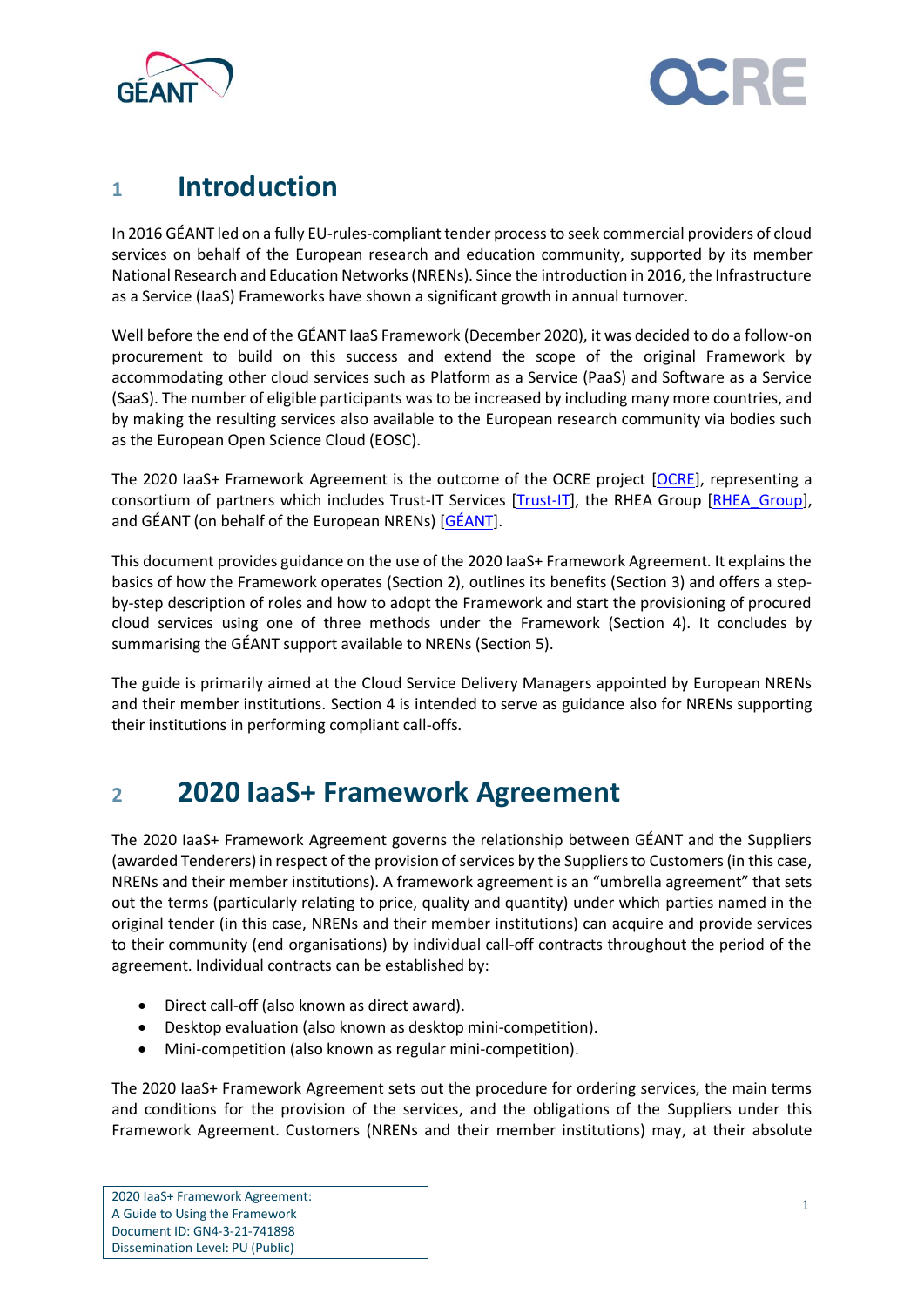



## <span id="page-2-0"></span>**<sup>1</sup> Introduction**

In 2016 GÉANT led on a fully EU-rules-compliant tender process to seek commercial providers of cloud services on behalf of the European research and education community, supported by its member National Research and Education Networks (NRENs). Since the introduction in 2016, the Infrastructure as a Service (IaaS) Frameworks have shown a significant growth in annual turnover.

Well before the end of the GÉANT IaaS Framework (December 2020), it was decided to do a follow-on procurement to build on this success and extend the scope of the original Framework by accommodating other cloud services such as Platform as a Service (PaaS) and Software as a Service (SaaS). The number of eligible participants was to be increased by including many more countries, and by making the resulting services also available to the European research community via bodies such as the European Open Science Cloud (EOSC).

The 2020 IaaS+ Framework Agreement is the outcome of the OCRE project [\[OCRE\]](#page-16-2), representing a consortium of partners which includes Trust-IT Services [\[Trust-IT\]](#page-16-3), the RHEA Group [\[RHEA\\_Group\]](#page-16-4), and GÉANT (on behalf of the European NRENs) [\[GÉANT\]](#page-16-5).

This document provides guidance on the use of the 2020 IaaS+ Framework Agreement. It explains the basics of how the Framework operates (Section [2\)](#page-2-1), outlines its benefits (Section [3\)](#page-3-0) and offers a stepby-step description of roles and how to adopt the Framework and start the provisioning of procured cloud services using one of three methods under the Framework (Section [4\)](#page-5-0). It concludes by summarising the GÉANT support available to NRENs (Section [5\)](#page-14-0).

The guide is primarily aimed at the Cloud Service Delivery Managers appointed by European NRENs and their member institutions. Section [4](#page-5-0) is intended to serve as guidance also for NRENs supporting their institutions in performing compliant call-offs.

# <span id="page-2-1"></span>**<sup>2</sup> 2020 IaaS+ Framework Agreement**

The 2020 IaaS+ Framework Agreement governs the relationship between GÉANT and the Suppliers (awarded Tenderers) in respect of the provision of services by the Suppliers to Customers (in this case, NRENs and their member institutions). A framework agreement is an "umbrella agreement" that sets out the terms (particularly relating to price, quality and quantity) under which parties named in the original tender (in this case, NRENs and their member institutions) can acquire and provide services to their community (end organisations) by individual call-off contracts throughout the period of the agreement. Individual contracts can be established by:

- Direct call-off (also known as direct award).
- Desktop evaluation (also known as desktop mini-competition).
- Mini-competition (also known as regular mini-competition).

The 2020 IaaS+ Framework Agreement sets out the procedure for ordering services, the main terms and conditions for the provision of the services, and the obligations of the Suppliers under this Framework Agreement. Customers (NRENs and their member institutions) may, at their absolute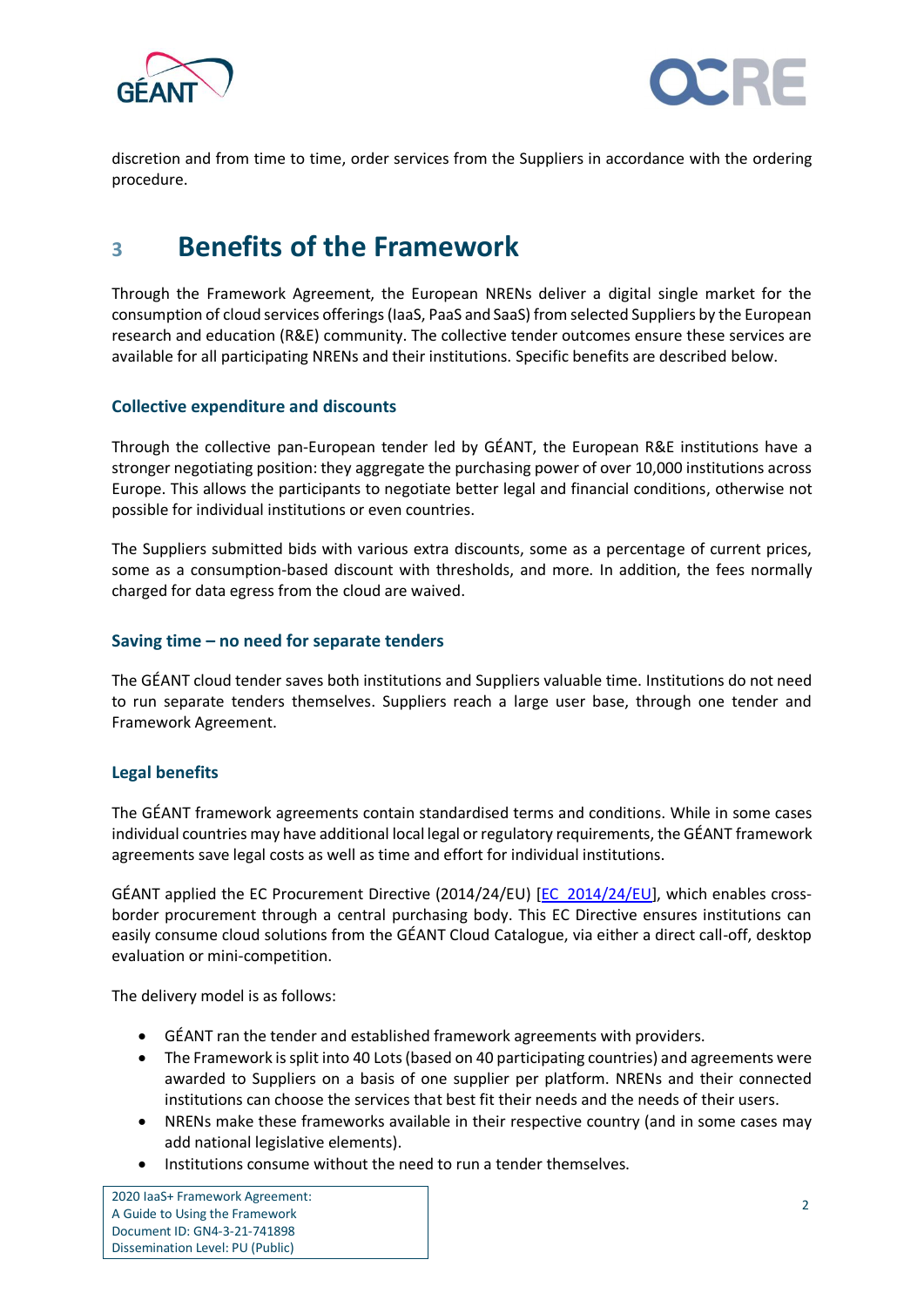



discretion and from time to time, order services from the Suppliers in accordance with the ordering procedure.

# <span id="page-3-0"></span>**<sup>3</sup> Benefits of the Framework**

Through the Framework Agreement, the European NRENs deliver a digital single market for the consumption of cloud services offerings (IaaS, PaaS and SaaS) from selected Suppliers by the European research and education (R&E) community. The collective tender outcomes ensure these services are available for all participating NRENs and their institutions. Specific benefits are described below.

#### **Collective expenditure and discounts**

Through the collective pan-European tender led by GÉANT, the European R&E institutions have a stronger negotiating position: they aggregate the purchasing power of over 10,000 institutions across Europe. This allows the participants to negotiate better legal and financial conditions, otherwise not possible for individual institutions or even countries.

The Suppliers submitted bids with various extra discounts, some as a percentage of current prices, some as a consumption-based discount with thresholds, and more. In addition, the fees normally charged for data egress from the cloud are waived.

#### **Saving time – no need for separate tenders**

The GÉANT cloud tender saves both institutions and Suppliers valuable time. Institutions do not need to run separate tenders themselves. Suppliers reach a large user base, through one tender and Framework Agreement.

#### **Legal benefits**

The GÉANT framework agreements contain standardised terms and conditions. While in some cases individual countries may have additional local legal or regulatory requirements, the GÉANT framework agreements save legal costs as well as time and effort for individual institutions.

GÉANT applied the EC Procurement Directive (2014/24/EU) [\[EC\\_2014/24/EU\]](#page-16-6), which enables crossborder procurement through a central purchasing body. This EC Directive ensures institutions can easily consume cloud solutions from the GÉANT Cloud Catalogue, via either a direct call-off, desktop evaluation or mini-competition.

The delivery model is as follows:

- GÉANT ran the tender and established framework agreements with providers.
- The Framework is split into 40 Lots (based on 40 participating countries) and agreements were awarded to Suppliers on a basis of one supplier per platform. NRENs and their connected institutions can choose the services that best fit their needs and the needs of their users.
- NRENs make these frameworks available in their respective country (and in some cases may add national legislative elements).
- Institutions consume without the need to run a tender themselves.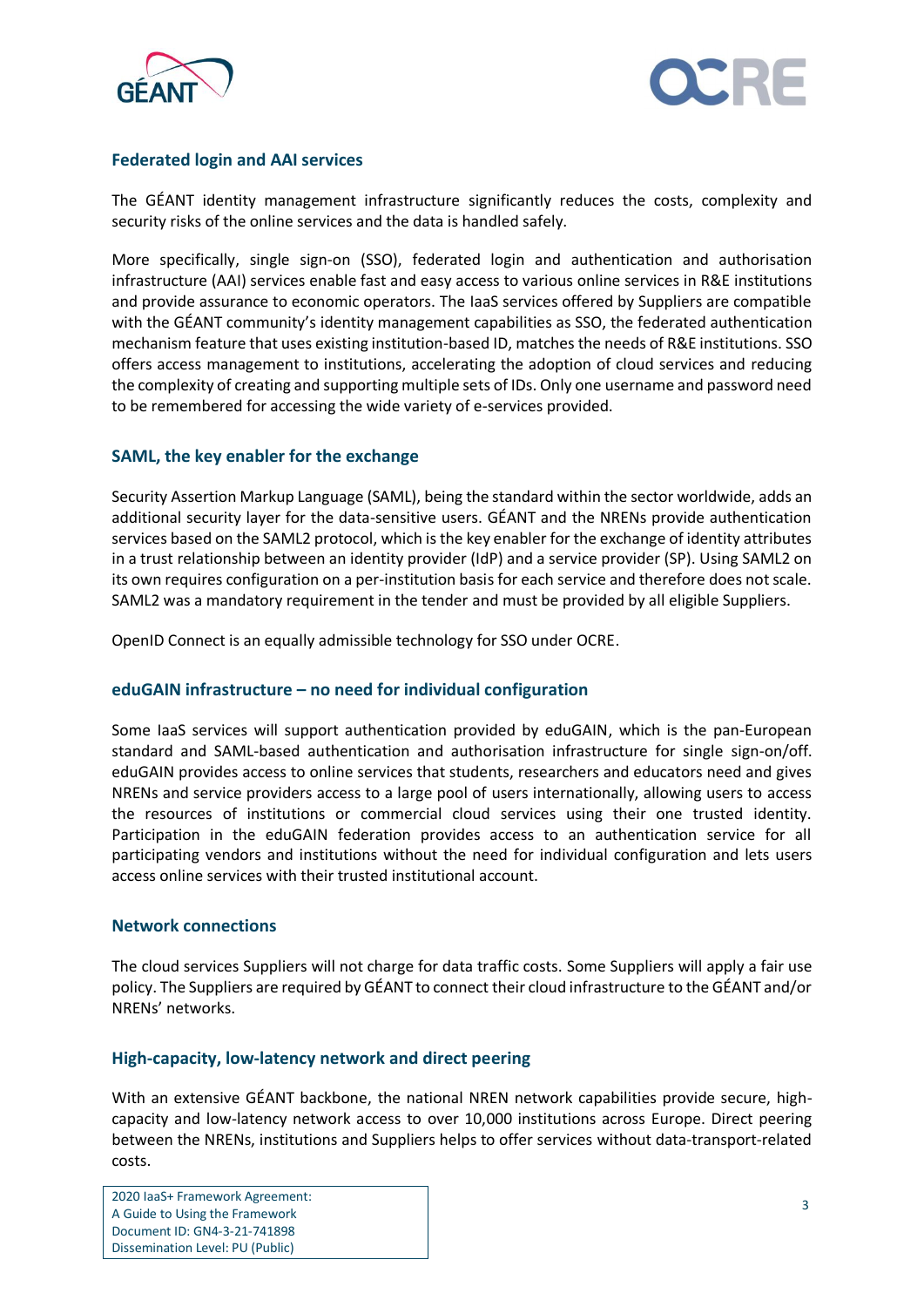



#### **Federated login and AAI services**

The GÉANT identity management infrastructure significantly reduces the costs, complexity and security risks of the online services and the data is handled safely.

More specifically, single sign-on (SSO), federated login and authentication and authorisation infrastructure (AAI) services enable fast and easy access to various online services in R&E institutions and provide assurance to economic operators. The IaaS services offered by Suppliers are compatible with the GÉANT community's identity management capabilities as SSO, the federated authentication mechanism feature that uses existing institution-based ID, matches the needs of R&E institutions. SSO offers access management to institutions, accelerating the adoption of cloud services and reducing the complexity of creating and supporting multiple sets of IDs. Only one username and password need to be remembered for accessing the wide variety of e-services provided.

#### **SAML, the key enabler for the exchange**

Security Assertion Markup Language (SAML), being the standard within the sector worldwide, adds an additional security layer for the data-sensitive users. GÉANT and the NRENs provide authentication services based on the SAML2 protocol, which is the key enabler for the exchange of identity attributes in a trust relationship between an identity provider (IdP) and a service provider (SP). Using SAML2 on its own requires configuration on a per-institution basis for each service and therefore does not scale. SAML2 was a mandatory requirement in the tender and must be provided by all eligible Suppliers.

OpenID Connect is an equally admissible technology for SSO under OCRE.

#### **eduGAIN infrastructure – no need for individual configuration**

Some IaaS services will support authentication provided by eduGAIN, which is the pan-European standard and SAML-based authentication and authorisation infrastructure for single sign-on/off. eduGAIN provides access to online services that students, researchers and educators need and gives NRENs and service providers access to a large pool of users internationally, allowing users to access the resources of institutions or commercial cloud services using their one trusted identity. Participation in the eduGAIN federation provides access to an authentication service for all participating vendors and institutions without the need for individual configuration and lets users access online services with their trusted institutional account.

#### **Network connections**

The cloud services Suppliers will not charge for data traffic costs. Some Suppliers will apply a fair use policy. The Suppliers are required by GÉANT to connect their cloud infrastructure to the GÉANT and/or NRENs' networks.

#### **High-capacity, low-latency network and direct peering**

With an extensive GÉANT backbone, the national NREN network capabilities provide secure, highcapacity and low-latency network access to over 10,000 institutions across Europe. Direct peering between the NRENs, institutions and Suppliers helps to offer services without data-transport-related costs.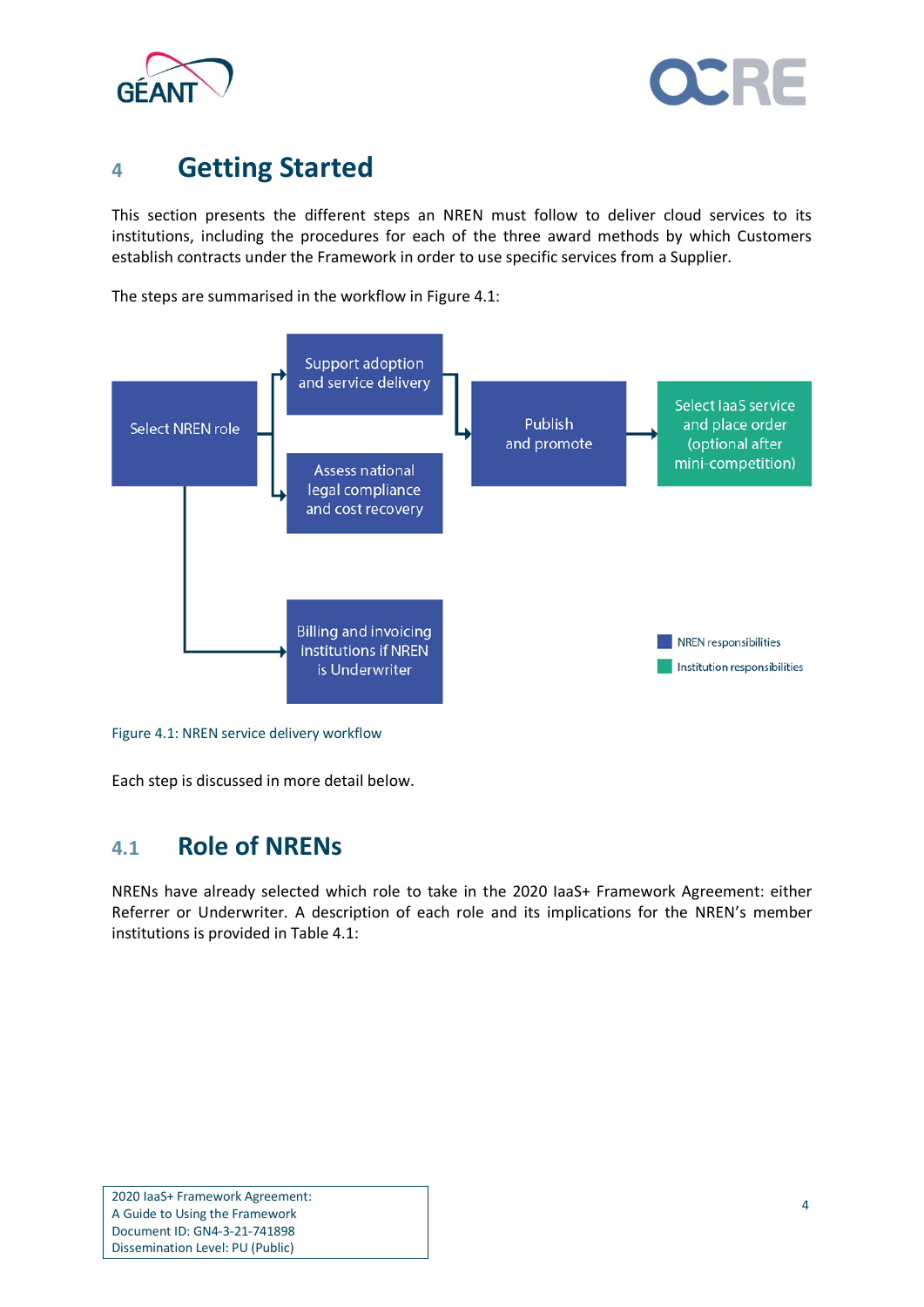



## <span id="page-5-0"></span>**<sup>4</sup> Getting Started**

This section presents the different steps an NREN must follow to deliver cloud services to its institutions, including the procedures for each of the three award methods by which Customers establish contracts under the Framework in order to use specific services from a Supplier.

The steps are summarised in the workflow in [Figure 4.1:](#page-5-2)



<span id="page-5-2"></span>Figure 4.1: NREN service delivery workflow

Each step is discussed in more detail below.

### <span id="page-5-1"></span>**4.1 Role of NRENs**

NRENs have already selected which role to take in the 2020 IaaS+ Framework Agreement: either Referrer or Underwriter. A description of each role and its implications for the NREN's member institutions is provided i[n Table 4.1:](#page-6-0)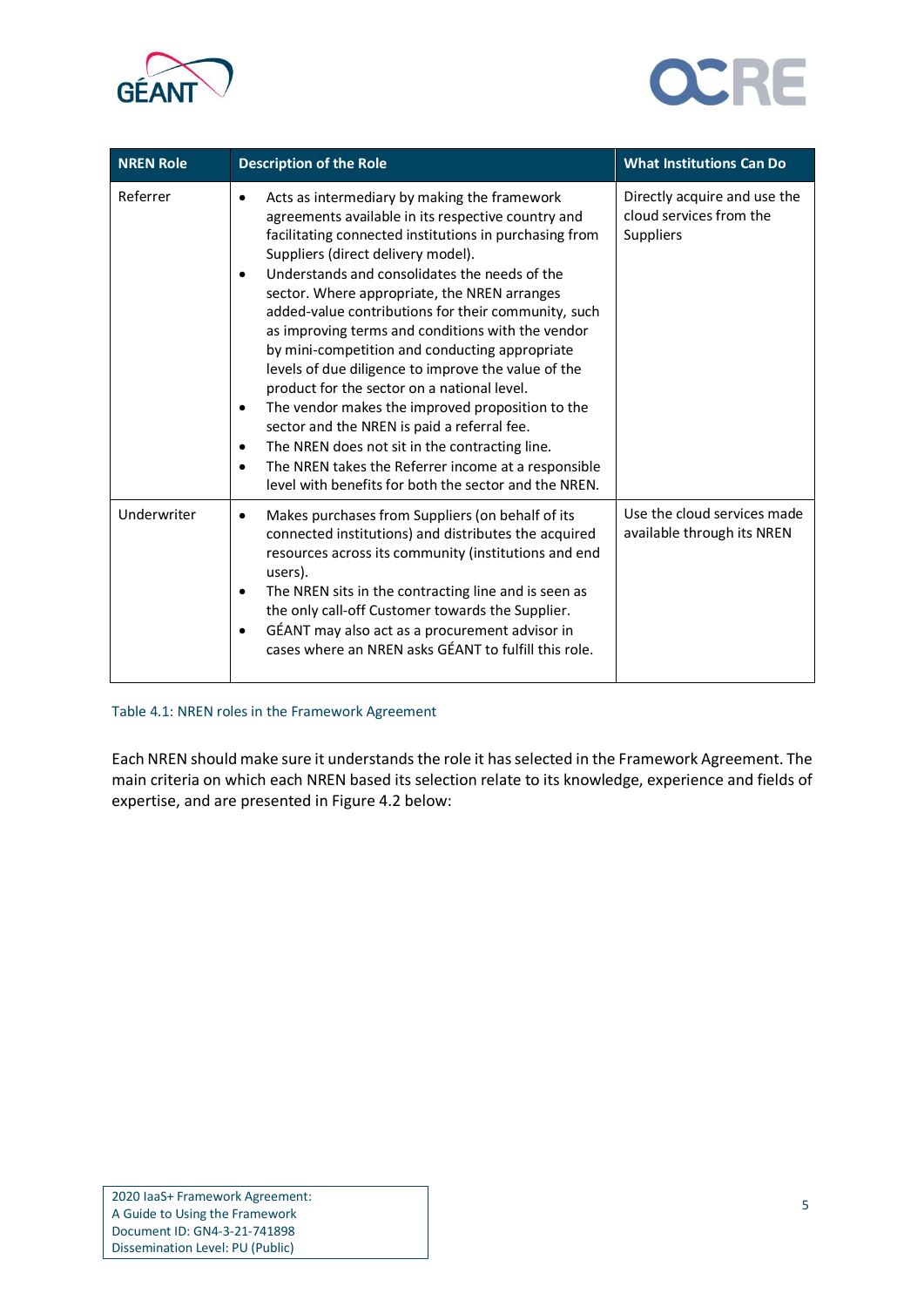



| <b>NREN Role</b> | <b>Description of the Role</b>                                                                                                                                                                                                                                                                                                                                                                                                                                                                                                                                                                                                                                                                                                                                                                                                                                                                                | <b>What Institutions Can Do</b>                                             |
|------------------|---------------------------------------------------------------------------------------------------------------------------------------------------------------------------------------------------------------------------------------------------------------------------------------------------------------------------------------------------------------------------------------------------------------------------------------------------------------------------------------------------------------------------------------------------------------------------------------------------------------------------------------------------------------------------------------------------------------------------------------------------------------------------------------------------------------------------------------------------------------------------------------------------------------|-----------------------------------------------------------------------------|
| Referrer         | Acts as intermediary by making the framework<br>$\bullet$<br>agreements available in its respective country and<br>facilitating connected institutions in purchasing from<br>Suppliers (direct delivery model).<br>Understands and consolidates the needs of the<br>$\bullet$<br>sector. Where appropriate, the NREN arranges<br>added-value contributions for their community, such<br>as improving terms and conditions with the vendor<br>by mini-competition and conducting appropriate<br>levels of due diligence to improve the value of the<br>product for the sector on a national level.<br>The vendor makes the improved proposition to the<br>$\bullet$<br>sector and the NREN is paid a referral fee.<br>The NREN does not sit in the contracting line.<br>$\bullet$<br>The NREN takes the Referrer income at a responsible<br>$\bullet$<br>level with benefits for both the sector and the NREN. | Directly acquire and use the<br>cloud services from the<br><b>Suppliers</b> |
| Underwriter      | Makes purchases from Suppliers (on behalf of its<br>$\bullet$<br>connected institutions) and distributes the acquired<br>resources across its community (institutions and end<br>users).<br>The NREN sits in the contracting line and is seen as<br>٠<br>the only call-off Customer towards the Supplier.<br>GÉANT may also act as a procurement advisor in<br>cases where an NREN asks GÉANT to fulfill this role.                                                                                                                                                                                                                                                                                                                                                                                                                                                                                           | Use the cloud services made<br>available through its NREN                   |

#### <span id="page-6-0"></span>Table 4.1: NREN roles in the Framework Agreement

Each NREN should make sure it understands the role it has selected in the Framework Agreement. The main criteria on which each NREN based its selection relate to its knowledge, experience and fields of expertise, and are presented in [Figure 4.2](#page-7-0) below: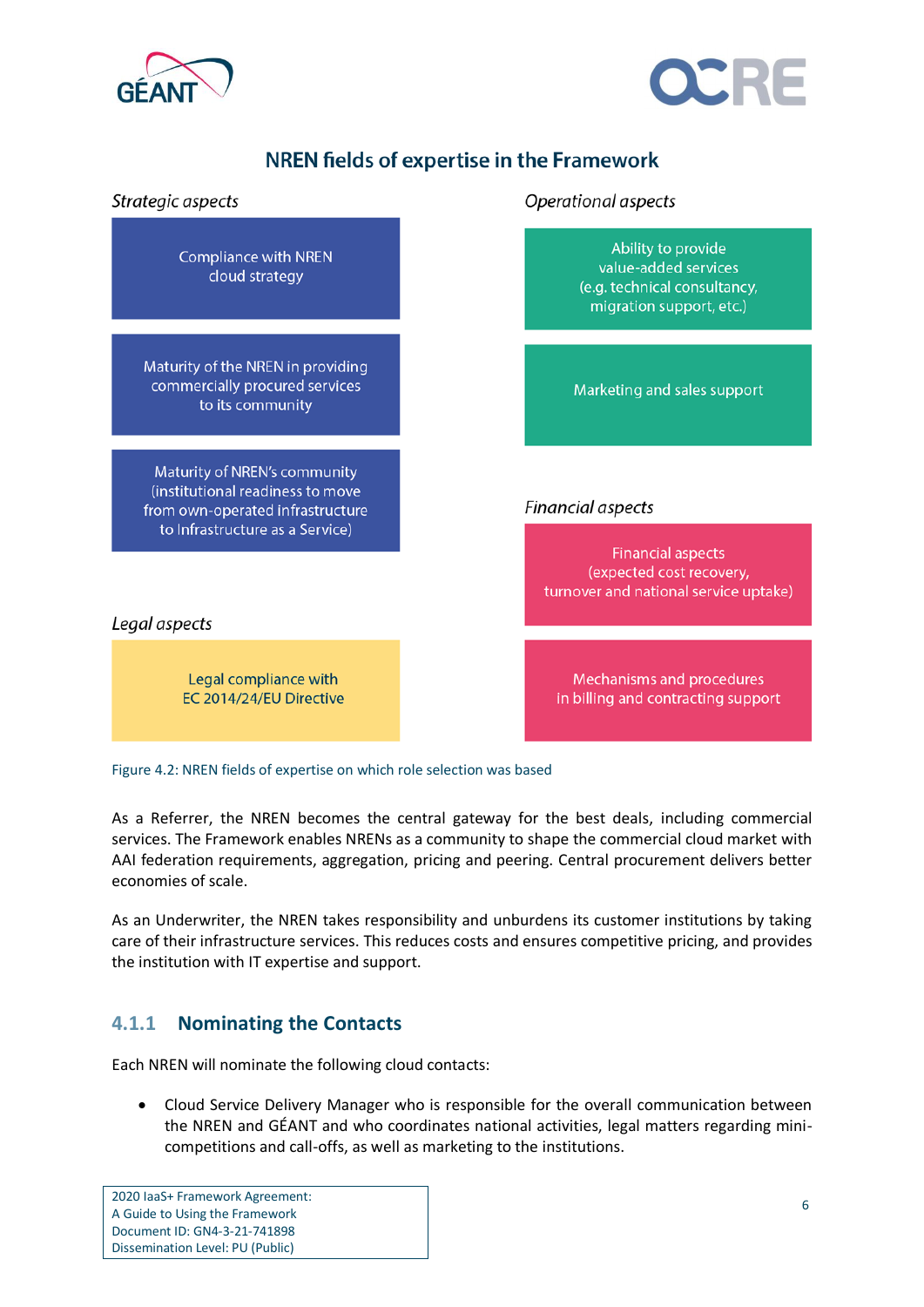



### NREN fields of expertise in the Framework



<span id="page-7-0"></span>Figure 4.2: NREN fields of expertise on which role selection was based

As a Referrer, the NREN becomes the central gateway for the best deals, including commercial services. The Framework enables NRENs as a community to shape the commercial cloud market with AAI federation requirements, aggregation, pricing and peering. Central procurement delivers better economies of scale.

As an Underwriter, the NREN takes responsibility and unburdens its customer institutions by taking care of their infrastructure services. This reduces costs and ensures competitive pricing, and provides the institution with IT expertise and support.

### **4.1.1 Nominating the Contacts**

Each NREN will nominate the following cloud contacts:

• Cloud Service Delivery Manager who is responsible for the overall communication between the NREN and GÉANT and who coordinates national activities, legal matters regarding minicompetitions and call-offs, as well as marketing to the institutions.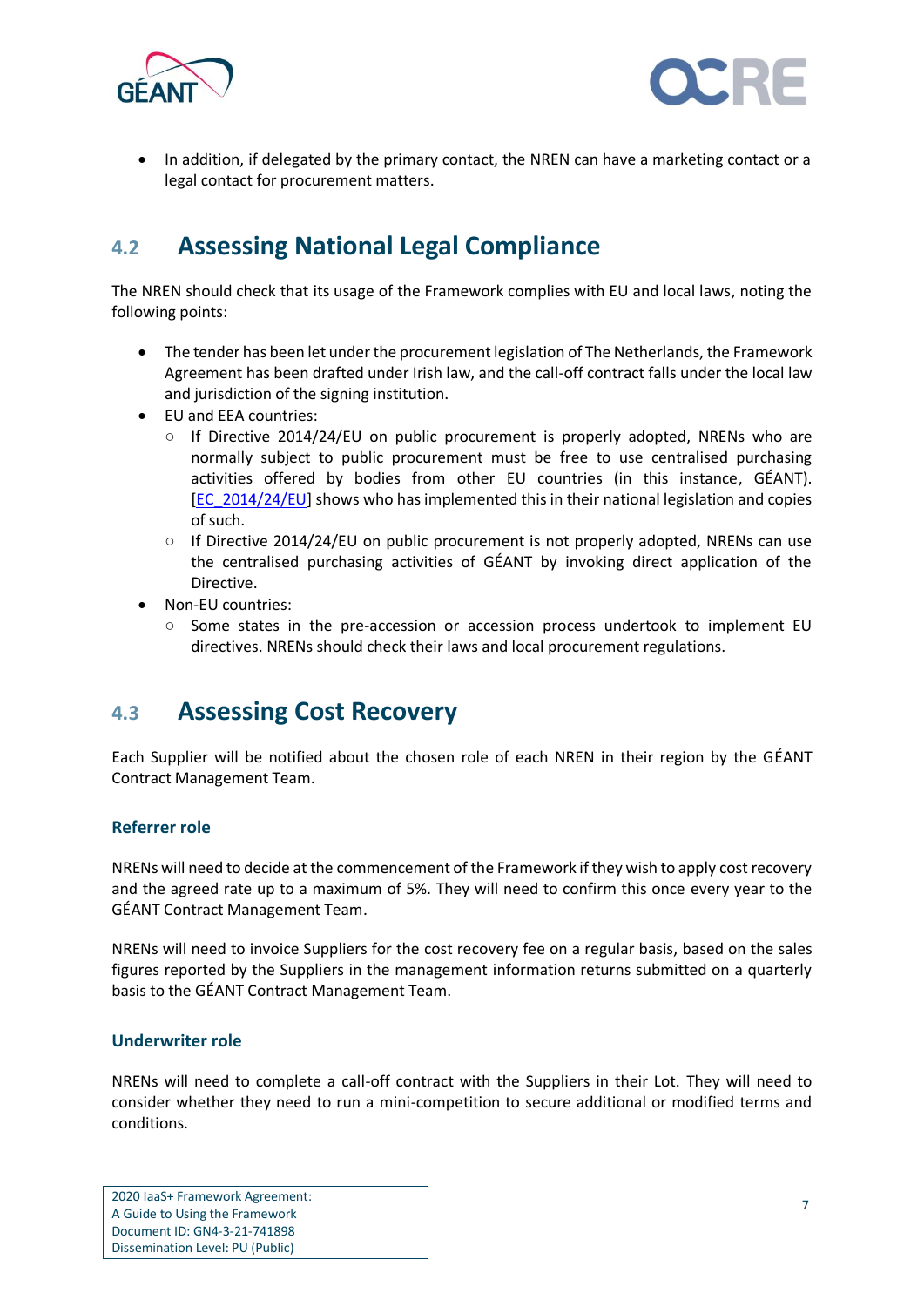



• In addition, if delegated by the primary contact, the NREN can have a marketing contact or a legal contact for procurement matters.

## <span id="page-8-0"></span>**4.2 Assessing National Legal Compliance**

The NREN should check that its usage of the Framework complies with EU and local laws, noting the following points:

- The tender has been let under the procurement legislation of The Netherlands, the Framework Agreement has been drafted under Irish law, and the call-off contract falls under the local law and jurisdiction of the signing institution.
- EU and EEA countries:
	- $\circ$  If Directive 2014/24/EU on public procurement is properly adopted, NRENs who are normally subject to public procurement must be free to use centralised purchasing activities offered by bodies from other EU countries (in this instance, GÉANT). [\[EC\\_2014/24/EU\]](#page-16-6) shows who has implemented this in their national legislation and copies of such.
	- $\circ$  If Directive 2014/24/EU on public procurement is not properly adopted, NRENs can use the centralised purchasing activities of GÉANT by invoking direct application of the Directive.
- Non-EU countries:
	- Some states in the pre-accession or accession process undertook to implement EU directives. NRENs should check their laws and local procurement regulations.

### <span id="page-8-1"></span>**4.3 Assessing Cost Recovery**

Each Supplier will be notified about the chosen role of each NREN in their region by the GÉANT Contract Management Team.

#### **Referrer role**

NRENs will need to decide at the commencement of the Framework if they wish to apply cost recovery and the agreed rate up to a maximum of 5%. They will need to confirm this once every year to the GÉANT Contract Management Team.

NRENs will need to invoice Suppliers for the cost recovery fee on a regular basis, based on the sales figures reported by the Suppliers in the management information returns submitted on a quarterly basis to the GÉANT Contract Management Team.

#### **Underwriter role**

NRENs will need to complete a call-off contract with the Suppliers in their Lot. They will need to consider whether they need to run a mini-competition to secure additional or modified terms and conditions.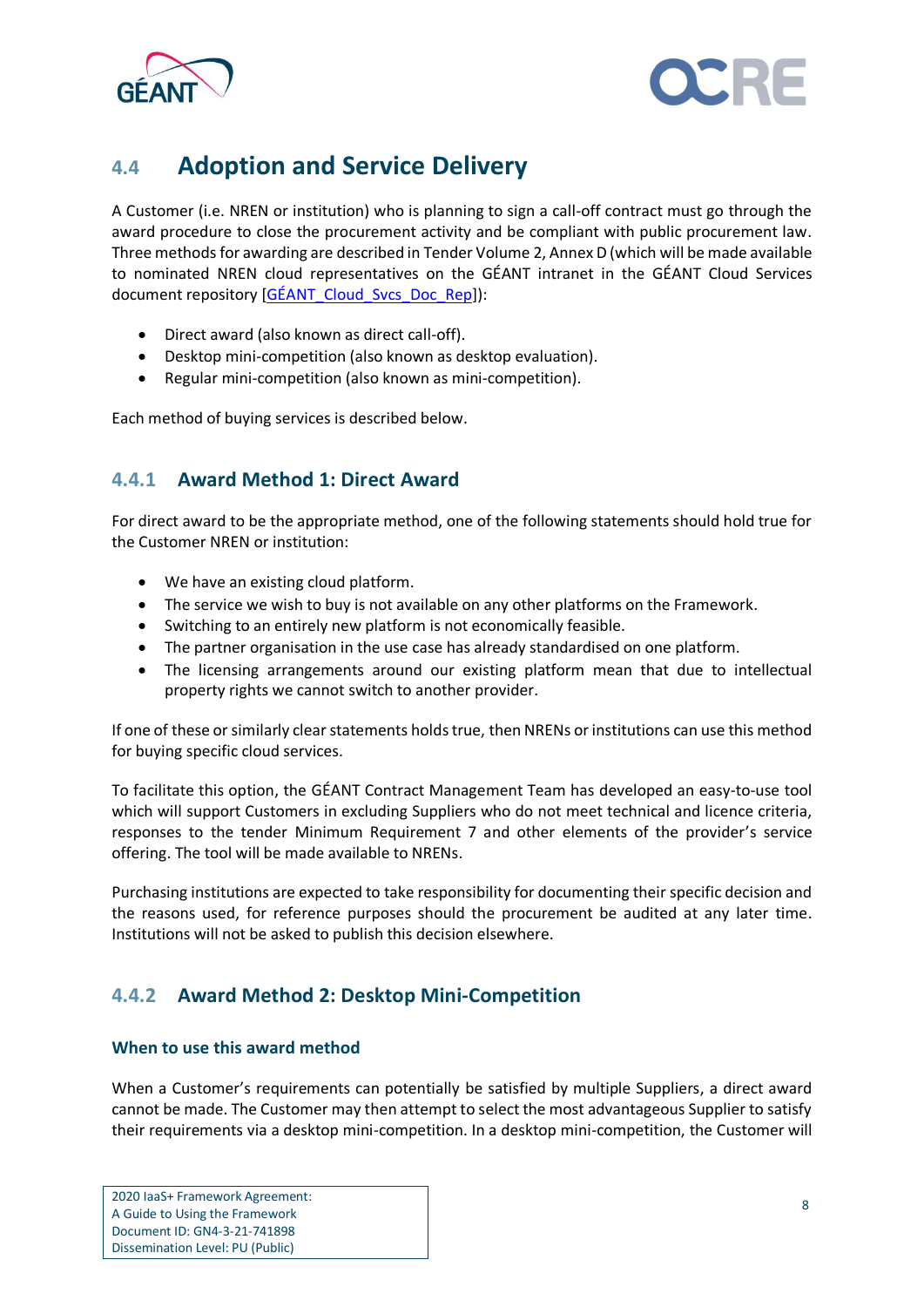



## <span id="page-9-0"></span>**4.4 Adoption and Service Delivery**

A Customer (i.e. NREN or institution) who is planning to sign a call-off contract must go through the award procedure to close the procurement activity and be compliant with public procurement law. Three methods for awarding are described in Tender Volume 2, Annex D (which will be made available to nominated NREN cloud representatives on the GÉANT intranet in the GÉANT Cloud Services document repository [\[GÉANT\\_Cloud\\_Svcs\\_Doc\\_Rep\]](#page-16-7)):

- Direct award (also known as direct call-off).
- Desktop mini-competition (also known as desktop evaluation).
- Regular mini-competition (also known as mini-competition).

Each method of buying services is described below.

### **4.4.1 Award Method 1: Direct Award**

For direct award to be the appropriate method, one of the following statements should hold true for the Customer NREN or institution:

- We have an existing cloud platform.
- The service we wish to buy is not available on any other platforms on the Framework.
- Switching to an entirely new platform is not economically feasible.
- The partner organisation in the use case has already standardised on one platform.
- The licensing arrangements around our existing platform mean that due to intellectual property rights we cannot switch to another provider.

If one of these or similarly clear statements holds true, then NRENs or institutions can use this method for buying specific cloud services.

To facilitate this option, the GÉANT Contract Management Team has developed an easy-to-use tool which will support Customers in excluding Suppliers who do not meet technical and licence criteria, responses to the tender Minimum Requirement 7 and other elements of the provider's service offering. The tool will be made available to NRENs.

Purchasing institutions are expected to take responsibility for documenting their specific decision and the reasons used, for reference purposes should the procurement be audited at any later time. Institutions will not be asked to publish this decision elsewhere.

### **4.4.2 Award Method 2: Desktop Mini-Competition**

#### **When to use this award method**

When a Customer's requirements can potentially be satisfied by multiple Suppliers, a direct award cannot be made. The Customer may then attempt to select the most advantageous Supplier to satisfy their requirements via a desktop mini-competition. In a desktop mini-competition, the Customer will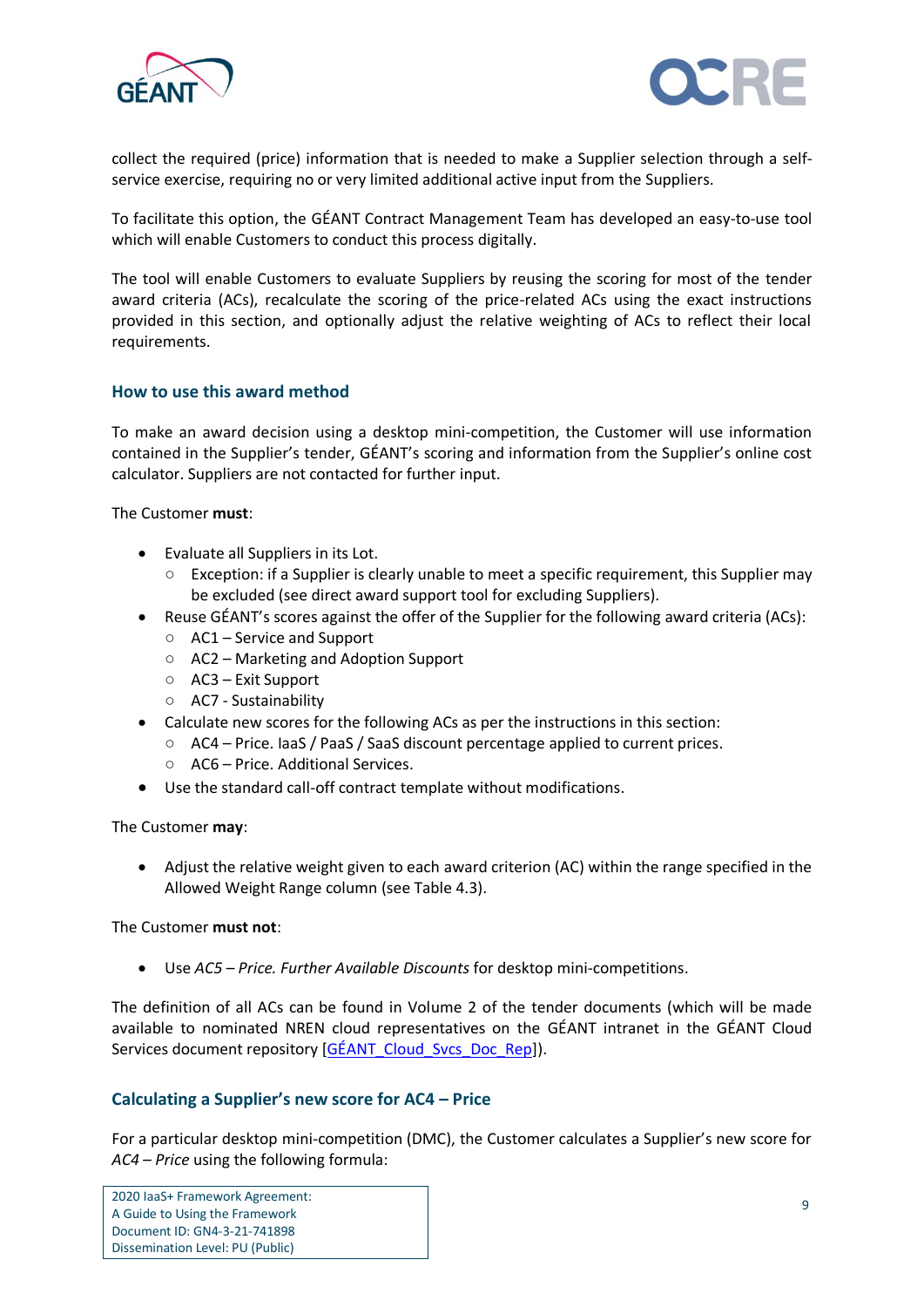



collect the required (price) information that is needed to make a Supplier selection through a selfservice exercise, requiring no or very limited additional active input from the Suppliers.

To facilitate this option, the GÉANT Contract Management Team has developed an easy-to-use tool which will enable Customers to conduct this process digitally.

The tool will enable Customers to evaluate Suppliers by reusing the scoring for most of the tender award criteria (ACs), recalculate the scoring of the price-related ACs using the exact instructions provided in this section, and optionally adjust the relative weighting of ACs to reflect their local requirements.

#### **How to use this award method**

To make an award decision using a desktop mini-competition, the Customer will use information contained in the Supplier's tender, GÉANT's scoring and information from the Supplier's online cost calculator. Suppliers are not contacted for further input.

The Customer **must**:

- Evaluate all Suppliers in its Lot.
	- Exception: if a Supplier is clearly unable to meet a specific requirement, this Supplier may be excluded (see direct award support tool for excluding Suppliers).
- Reuse GÉANT's scores against the offer of the Supplier for the following award criteria (ACs):
	- AC1 Service and Support
	- AC2 Marketing and Adoption Support
	- AC3 Exit Support
	- AC7 Sustainability
- Calculate new scores for the following ACs as per the instructions in this section:
	- AC4 Price. IaaS / PaaS / SaaS discount percentage applied to current prices.
	- AC6 Price. Additional Services.
- Use the standard call-off contract template without modifications.

The Customer **may**:

• Adjust the relative weight given to each award criterion (AC) within the range specified in the Allowed Weight Range column (see [Table 4.3\)](#page-12-0).

The Customer **must not**:

• Use *AC5 – Price. Further Available Discounts* for desktop mini-competitions.

The definition of all ACs can be found in Volume 2 of the tender documents (which will be made available to nominated NREN cloud representatives on the GÉANT intranet in the GÉANT Cloud Services document repository [\[GÉANT\\_Cloud\\_Svcs\\_Doc\\_Rep\]](#page-16-7)).

### **Calculating a Supplier's new score for AC4 – Price**

For a particular desktop mini-competition (DMC), the Customer calculates a Supplier's new score for *AC4 – Price* using the following formula: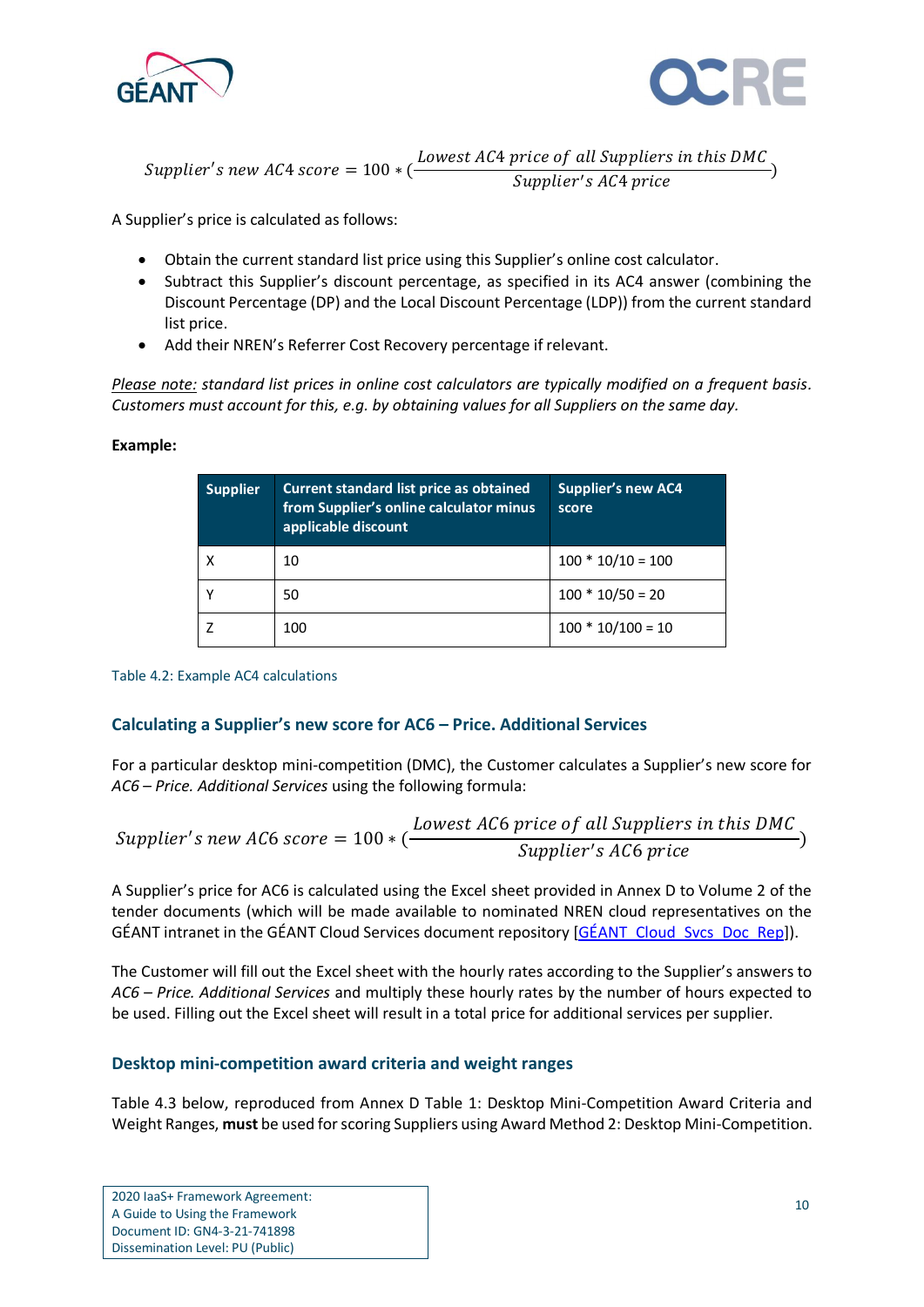



Supplier's new AC4 score  $= 100 * ($ Lowest AC4 price of all Suppliers in this DMC Supplier's AC4 price )

A Supplier's price is calculated as follows:

- Obtain the current standard list price using this Supplier's online cost calculator.
- Subtract this Supplier's discount percentage, as specified in its AC4 answer (combining the Discount Percentage (DP) and the Local Discount Percentage (LDP)) from the current standard list price.
- Add their NREN's Referrer Cost Recovery percentage if relevant.

*Please note: standard list prices in online cost calculators are typically modified on a frequent basis. Customers must account for this, e.g. by obtaining values for all Suppliers on the same day.*

#### **Example:**

| <b>Supplier</b> | Current standard list price as obtained<br>from Supplier's online calculator minus<br>applicable discount | <b>Supplier's new AC4</b><br>score |
|-----------------|-----------------------------------------------------------------------------------------------------------|------------------------------------|
|                 | 10                                                                                                        | $100 * 10/10 = 100$                |
|                 | 50                                                                                                        | $100 * 10/50 = 20$                 |
|                 | 100                                                                                                       | $100 * 10/100 = 10$                |

Table 4.2: Example AC4 calculations

### **Calculating a Supplier's new score for AC6 – Price. Additional Services**

For a particular desktop mini-competition (DMC), the Customer calculates a Supplier's new score for *AC6 – Price. Additional Services* using the following formula:

*Supplier's new AC6 score* = 
$$
100 * (\frac{Lowest AC6 price of all Suppliers in this DMC}{Supplier's AC6 price})
$$

A Supplier's price for AC6 is calculated using the Excel sheet provided in Annex D to Volume 2 of the tender documents (which will be made available to nominated NREN cloud representatives on the GÉANT intranet in the GÉANT Cloud Services document repository [\[GÉANT\\_Cloud\\_Svcs\\_Doc\\_Rep\]](#page-16-7)).

The Customer will fill out the Excel sheet with the hourly rates according to the Supplier's answers to *AC6 – Price. Additional Services* and multiply these hourly rates by the number of hours expected to be used. Filling out the Excel sheet will result in a total price for additional services per supplier.

#### **Desktop mini-competition award criteria and weight ranges**

[Table 4.3](#page-12-0) below, reproduced from Annex D Table 1: Desktop Mini-Competition Award Criteria and Weight Ranges, **must** be used for scoring Suppliers using Award Method 2: Desktop Mini-Competition.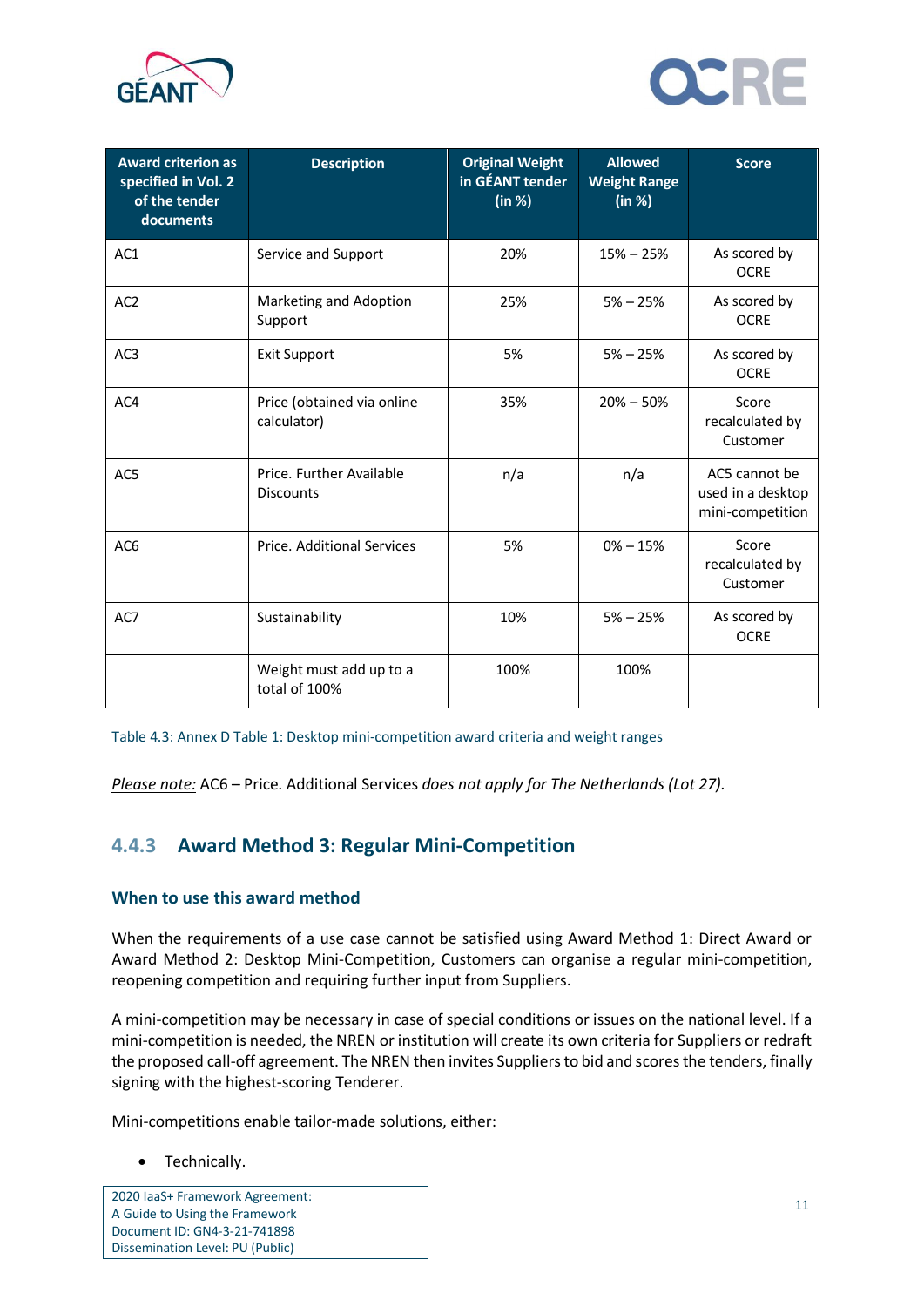



| <b>Award criterion as</b><br>specified in Vol. 2<br>of the tender<br>documents | <b>Description</b>                           | <b>Original Weight</b><br>in GÉANT tender<br>(in %) | <b>Allowed</b><br><b>Weight Range</b><br>(in %) | <b>Score</b>                                           |
|--------------------------------------------------------------------------------|----------------------------------------------|-----------------------------------------------------|-------------------------------------------------|--------------------------------------------------------|
| AC1                                                                            | Service and Support                          | 20%                                                 | $15% - 25%$                                     | As scored by<br><b>OCRE</b>                            |
| AC <sub>2</sub>                                                                | Marketing and Adoption<br>Support            | 25%                                                 | $5% - 25%$                                      | As scored by<br><b>OCRE</b>                            |
| AC3                                                                            | <b>Exit Support</b>                          | 5%                                                  | $5% - 25%$                                      | As scored by<br><b>OCRE</b>                            |
| AC4                                                                            | Price (obtained via online<br>calculator)    | 35%                                                 | $20\% - 50\%$                                   | Score<br>recalculated by<br>Customer                   |
| AC5                                                                            | Price. Further Available<br><b>Discounts</b> | n/a                                                 | n/a                                             | AC5 cannot be<br>used in a desktop<br>mini-competition |
| AC <sub>6</sub>                                                                | Price, Additional Services                   | 5%                                                  | $0\% - 15\%$                                    | Score<br>recalculated by<br>Customer                   |
| AC7                                                                            | Sustainability                               | 10%                                                 | $5% - 25%$                                      | As scored by<br><b>OCRE</b>                            |
|                                                                                | Weight must add up to a<br>total of 100%     | 100%                                                | 100%                                            |                                                        |

<span id="page-12-0"></span>Table 4.3: Annex D Table 1: Desktop mini-competition award criteria and weight ranges

*Please note:* AC6 – Price. Additional Services *does not apply for The Netherlands (Lot 27).*

### **4.4.3 Award Method 3: Regular Mini-Competition**

### **When to use this award method**

When the requirements of a use case cannot be satisfied using Award Method 1: Direct Award or Award Method 2: Desktop Mini-Competition, Customers can organise a regular mini-competition, reopening competition and requiring further input from Suppliers.

A mini-competition may be necessary in case of special conditions or issues on the national level. If a mini-competition is needed, the NREN or institution will create its own criteria for Suppliers or redraft the proposed call-off agreement. The NREN then invites Suppliers to bid and scores the tenders, finally signing with the highest-scoring Tenderer.

Mini-competitions enable tailor-made solutions, either:

### • Technically.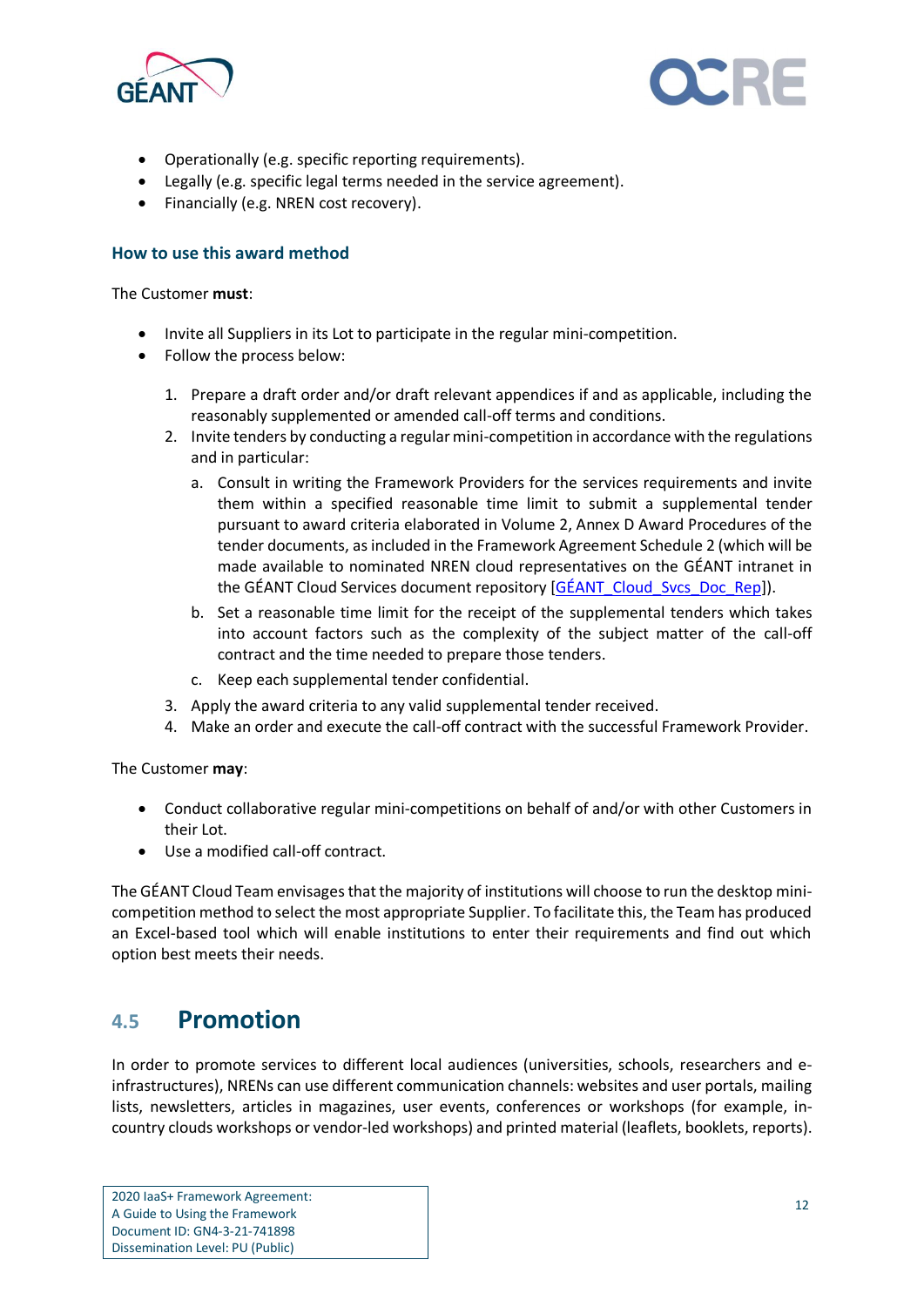



- Operationally (e.g. specific reporting requirements).
- Legally (e.g. specific legal terms needed in the service agreement).
- Financially (e.g. NREN cost recovery).

#### **How to use this award method**

The Customer **must**:

- Invite all Suppliers in its Lot to participate in the regular mini-competition.
- Follow the process below:
	- 1. Prepare a draft order and/or draft relevant appendices if and as applicable, including the reasonably supplemented or amended call-off terms and conditions.
	- 2. Invite tenders by conducting a regular mini-competition in accordance with the regulations and in particular:
		- a. Consult in writing the Framework Providers for the services requirements and invite them within a specified reasonable time limit to submit a supplemental tender pursuant to award criteria elaborated in Volume 2, Annex D Award Procedures of the tender documents, as included in the Framework Agreement Schedule 2 (which will be made available to nominated NREN cloud representatives on the GÉANT intranet in the GÉANT Cloud Services document repository [\[GÉANT\\_Cloud\\_Svcs\\_Doc\\_Rep\]](#page-16-7)).
		- b. Set a reasonable time limit for the receipt of the supplemental tenders which takes into account factors such as the complexity of the subject matter of the call-off contract and the time needed to prepare those tenders.
		- c. Keep each supplemental tender confidential.
	- 3. Apply the award criteria to any valid supplemental tender received.
	- 4. Make an order and execute the call-off contract with the successful Framework Provider.

The Customer **may**:

- Conduct collaborative regular mini-competitions on behalf of and/or with other Customers in their Lot.
- Use a modified call-off contract.

The GÉANT Cloud Team envisagesthat the majority of institutions will choose to run the desktop minicompetition method to select the most appropriate Supplier. To facilitate this, the Team has produced an Excel-based tool which will enable institutions to enter their requirements and find out which option best meets their needs.

### <span id="page-13-0"></span>**4.5 Promotion**

In order to promote services to different local audiences (universities, schools, researchers and einfrastructures), NRENs can use different communication channels: websites and user portals, mailing lists, newsletters, articles in magazines, user events, conferences or workshops (for example, incountry clouds workshops or vendor-led workshops) and printed material (leaflets, booklets, reports).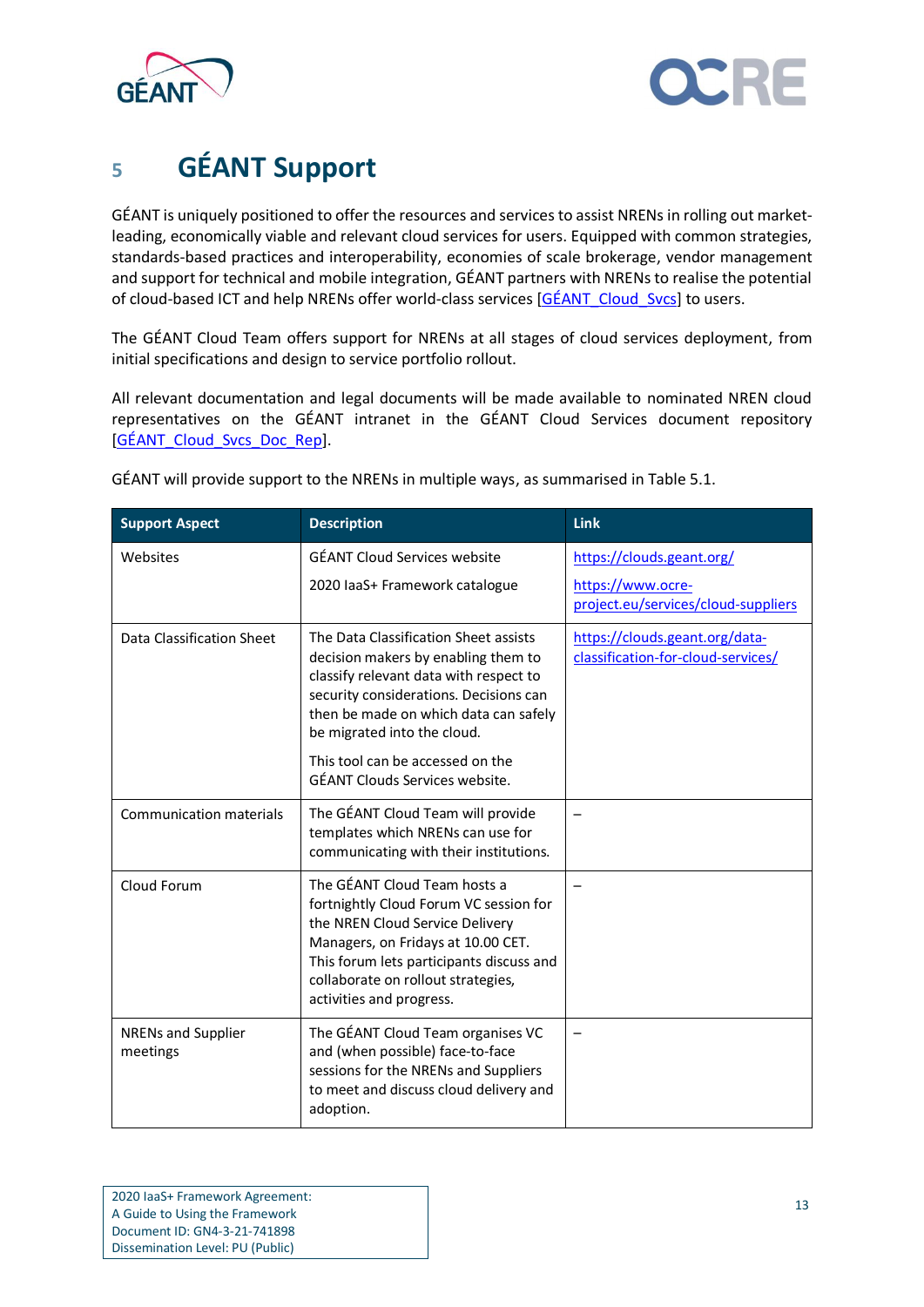



# <span id="page-14-0"></span>**<sup>5</sup> GÉANT Support**

GÉANT is uniquely positioned to offer the resources and services to assist NRENs in rolling out marketleading, economically viable and relevant cloud services for users. Equipped with common strategies, standards-based practices and interoperability, economies of scale brokerage, vendor management and support for technical and mobile integration, GÉANT partners with NRENs to realise the potential of cloud-based ICT and help NRENs offer world-class services [\[GÉANT\\_Cloud\\_Svcs\]](#page-16-8) to users.

The GÉANT Cloud Team offers support for NRENs at all stages of cloud services deployment, from initial specifications and design to service portfolio rollout.

All relevant documentation and legal documents will be made available to nominated NREN cloud representatives on the GÉANT intranet in the GÉANT Cloud Services document repository [\[GÉANT\\_Cloud\\_Svcs\\_Doc\\_Rep\]](#page-16-7).

| <b>Support Aspect</b>                 | <b>Description</b>                                                                                                                                                                                                                                                                                                    | <b>Link</b>                                                                           |
|---------------------------------------|-----------------------------------------------------------------------------------------------------------------------------------------------------------------------------------------------------------------------------------------------------------------------------------------------------------------------|---------------------------------------------------------------------------------------|
| Websites                              | <b>GÉANT Cloud Services website</b><br>2020 laaS+ Framework catalogue                                                                                                                                                                                                                                                 | https://clouds.geant.org/<br>https://www.ocre-<br>project.eu/services/cloud-suppliers |
| Data Classification Sheet             | The Data Classification Sheet assists<br>decision makers by enabling them to<br>classify relevant data with respect to<br>security considerations. Decisions can<br>then be made on which data can safely<br>be migrated into the cloud.<br>This tool can be accessed on the<br><b>GÉANT Clouds Services website.</b> | https://clouds.geant.org/data-<br>classification-for-cloud-services/                  |
| <b>Communication materials</b>        | The GÉANT Cloud Team will provide<br>templates which NRENs can use for<br>communicating with their institutions.                                                                                                                                                                                                      |                                                                                       |
| Cloud Forum                           | The GÉANT Cloud Team hosts a<br>fortnightly Cloud Forum VC session for<br>the NREN Cloud Service Delivery<br>Managers, on Fridays at 10.00 CET.<br>This forum lets participants discuss and<br>collaborate on rollout strategies,<br>activities and progress.                                                         |                                                                                       |
| <b>NRENs and Supplier</b><br>meetings | The GÉANT Cloud Team organises VC<br>and (when possible) face-to-face<br>sessions for the NRENs and Suppliers<br>to meet and discuss cloud delivery and<br>adoption.                                                                                                                                                  |                                                                                       |

GÉANT will provide support to the NRENs in multiple ways, as summarised i[n Table 5.1.](#page-15-0)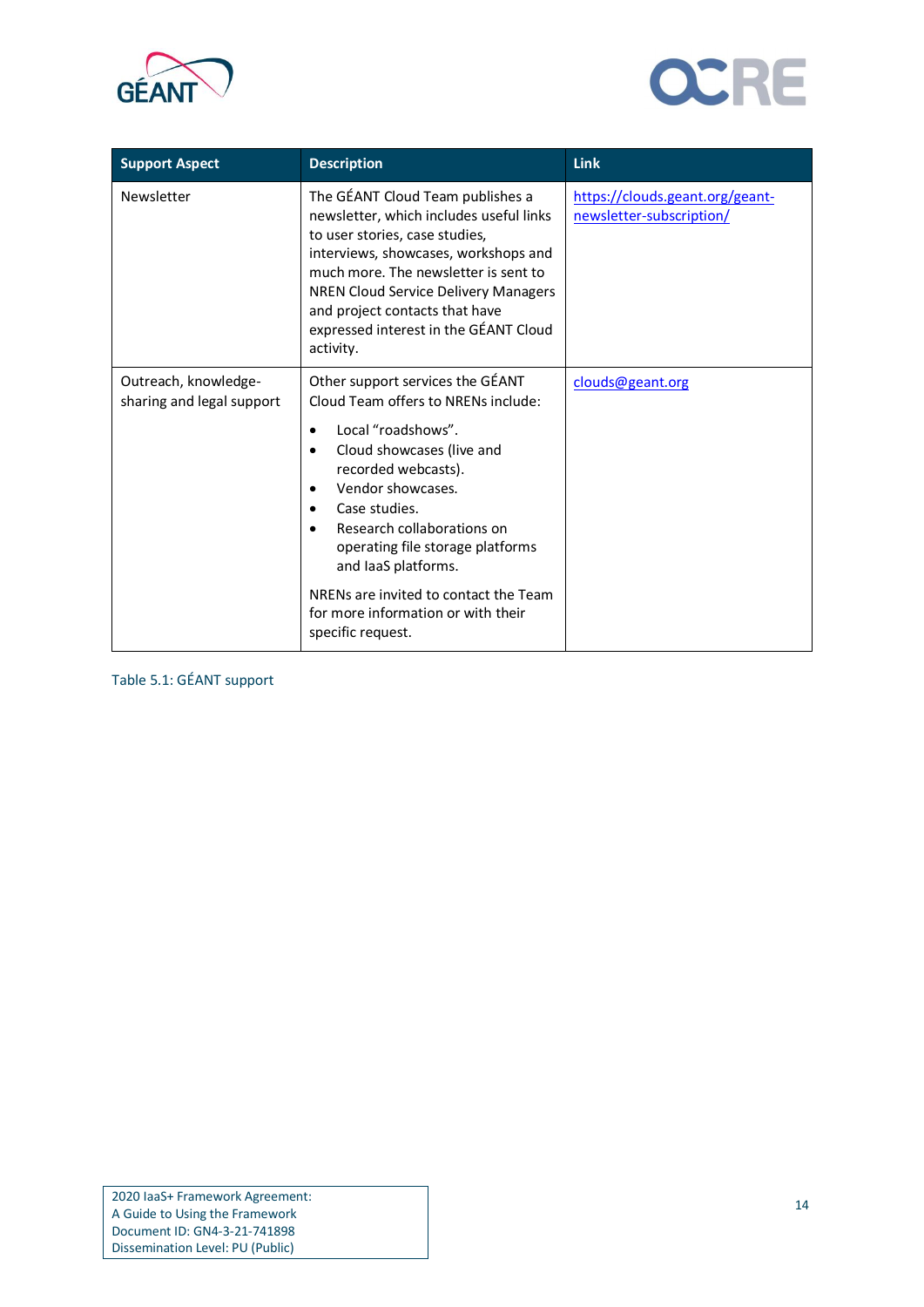



| <b>Support Aspect</b>                             | <b>Description</b>                                                                                                                                                                                                                                                                                                            | <b>Link</b>                                                 |
|---------------------------------------------------|-------------------------------------------------------------------------------------------------------------------------------------------------------------------------------------------------------------------------------------------------------------------------------------------------------------------------------|-------------------------------------------------------------|
| Newsletter                                        | The GÉANT Cloud Team publishes a<br>newsletter, which includes useful links<br>to user stories, case studies,<br>interviews, showcases, workshops and<br>much more. The newsletter is sent to<br>NREN Cloud Service Delivery Managers<br>and project contacts that have<br>expressed interest in the GÉANT Cloud<br>activity. | https://clouds.geant.org/geant-<br>newsletter-subscription/ |
| Outreach, knowledge-<br>sharing and legal support | Other support services the GÉANT<br>Cloud Team offers to NRENs include:                                                                                                                                                                                                                                                       | clouds@geant.org                                            |
|                                                   | Local "roadshows".<br>Cloud showcases (live and<br>٠<br>recorded webcasts).<br>Vendor showcases.<br>٠<br>Case studies.<br>٠<br>Research collaborations on<br>operating file storage platforms<br>and laaS platforms.                                                                                                          |                                                             |
|                                                   | NRENs are invited to contact the Team<br>for more information or with their<br>specific request.                                                                                                                                                                                                                              |                                                             |

<span id="page-15-0"></span>Table 5.1: GÉANT support